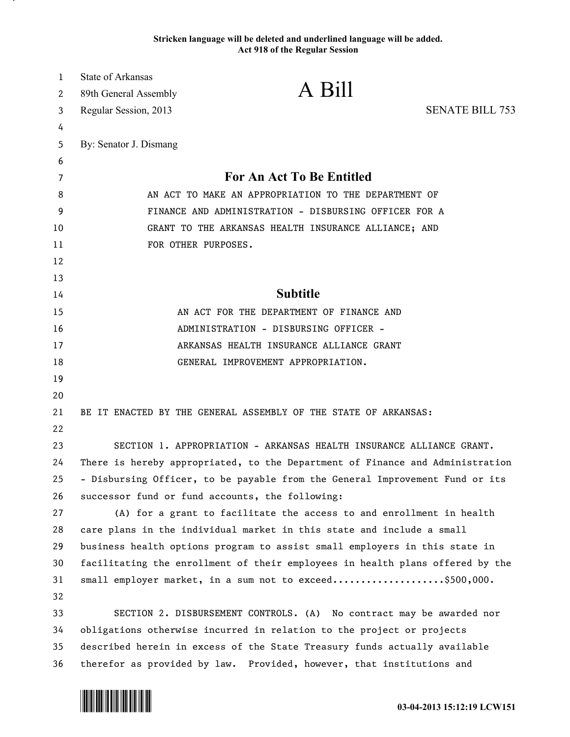## **Stricken language will be deleted and underlined language will be added. Act 918 of the Regular Session**

| 1  | State of Arkansas                                                             |                                                                           |                        |  |
|----|-------------------------------------------------------------------------------|---------------------------------------------------------------------------|------------------------|--|
| 2  | 89th General Assembly                                                         | A Bill                                                                    |                        |  |
| 3  | Regular Session, 2013                                                         |                                                                           | <b>SENATE BILL 753</b> |  |
| 4  |                                                                               |                                                                           |                        |  |
| 5  | By: Senator J. Dismang                                                        |                                                                           |                        |  |
| 6  |                                                                               |                                                                           |                        |  |
| 7  | <b>For An Act To Be Entitled</b>                                              |                                                                           |                        |  |
| 8  | AN ACT TO MAKE AN APPROPRIATION TO THE DEPARTMENT OF                          |                                                                           |                        |  |
| 9  | FINANCE AND ADMINISTRATION - DISBURSING OFFICER FOR A                         |                                                                           |                        |  |
| 10 | GRANT TO THE ARKANSAS HEALTH INSURANCE ALLIANCE; AND                          |                                                                           |                        |  |
| 11 |                                                                               | FOR OTHER PURPOSES.                                                       |                        |  |
| 12 |                                                                               |                                                                           |                        |  |
| 13 |                                                                               |                                                                           |                        |  |
| 14 | <b>Subtitle</b>                                                               |                                                                           |                        |  |
| 15 | AN ACT FOR THE DEPARTMENT OF FINANCE AND                                      |                                                                           |                        |  |
| 16 | ADMINISTRATION - DISBURSING OFFICER -                                         |                                                                           |                        |  |
| 17 | ARKANSAS HEALTH INSURANCE ALLIANCE GRANT                                      |                                                                           |                        |  |
| 18 |                                                                               | GENERAL IMPROVEMENT APPROPRIATION.                                        |                        |  |
| 19 |                                                                               |                                                                           |                        |  |
| 20 |                                                                               |                                                                           |                        |  |
| 21 |                                                                               | BE IT ENACTED BY THE GENERAL ASSEMBLY OF THE STATE OF ARKANSAS:           |                        |  |
| 22 |                                                                               |                                                                           |                        |  |
| 23 |                                                                               | SECTION 1. APPROPRIATION - ARKANSAS HEALTH INSURANCE ALLIANCE GRANT.      |                        |  |
| 24 | There is hereby appropriated, to the Department of Finance and Administration |                                                                           |                        |  |
| 25 | - Disbursing Officer, to be payable from the General Improvement Fund or its  |                                                                           |                        |  |
| 26 |                                                                               | successor fund or fund accounts, the following:                           |                        |  |
| 27 |                                                                               | (A) for a grant to facilitate the access to and enrollment in health      |                        |  |
| 28 | care plans in the individual market in this state and include a small         |                                                                           |                        |  |
| 29 | business health options program to assist small employers in this state in    |                                                                           |                        |  |
| 30 | facilitating the enrollment of their employees in health plans offered by the |                                                                           |                        |  |
| 31 |                                                                               | small employer market, in a sum not to exceed\$500,000.                   |                        |  |
| 32 |                                                                               |                                                                           |                        |  |
| 33 |                                                                               | SECTION 2. DISBURSEMENT CONTROLS. (A) No contract may be awarded nor      |                        |  |
| 34 | obligations otherwise incurred in relation to the project or projects         |                                                                           |                        |  |
| 35 |                                                                               | described herein in excess of the State Treasury funds actually available |                        |  |
| 36 |                                                                               | therefor as provided by law. Provided, however, that institutions and     |                        |  |



.